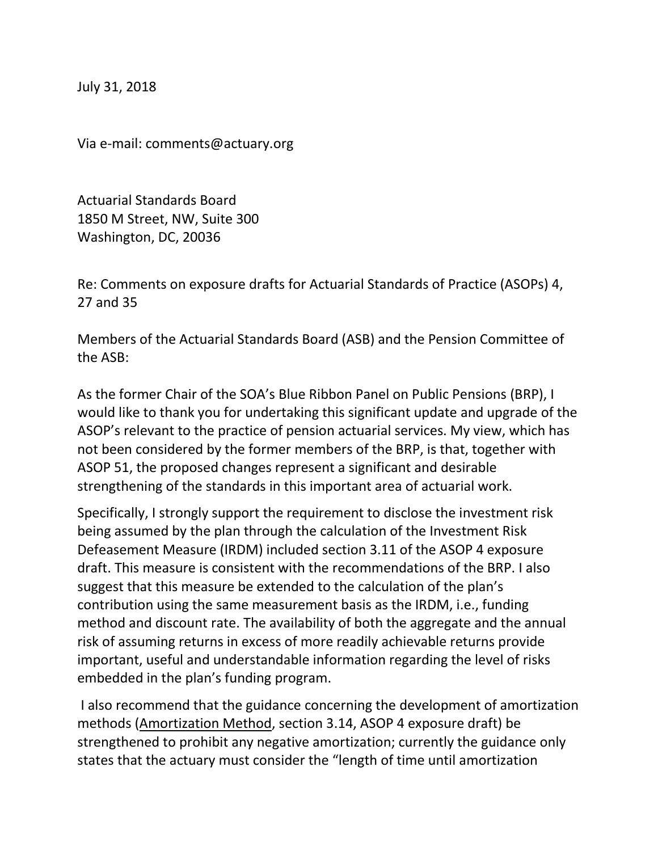July 31, 2018

Via e-mail: comments@actuary.org

Actuarial Standards Board 1850 M Street, NW, Suite 300 Washington, DC, 20036

Re: Comments on exposure drafts for Actuarial Standards of Practice (ASOPs) 4, 27 and 35

Members of the Actuarial Standards Board (ASB) and the Pension Committee of the ASB:

As the former Chair of the SOA's Blue Ribbon Panel on Public Pensions (BRP), I would like to thank you for undertaking this significant update and upgrade of the ASOP's relevant to the practice of pension actuarial services. My view, which has not been considered by the former members of the BRP, is that, together with ASOP 51, the proposed changes represent a significant and desirable strengthening of the standards in this important area of actuarial work.

Specifically, I strongly support the requirement to disclose the investment risk being assumed by the plan through the calculation of the Investment Risk Defeasement Measure (IRDM) included section 3.11 of the ASOP 4 exposure draft. This measure is consistent with the recommendations of the BRP. I also suggest that this measure be extended to the calculation of the plan's contribution using the same measurement basis as the IRDM, i.e., funding method and discount rate. The availability of both the aggregate and the annual risk of assuming returns in excess of more readily achievable returns provide important, useful and understandable information regarding the level of risks embedded in the plan's funding program.

I also recommend that the guidance concerning the development of amortization methods (Amortization Method, section 3.14, ASOP 4 exposure draft) be strengthened to prohibit any negative amortization; currently the guidance only states that the actuary must consider the "length of time until amortization